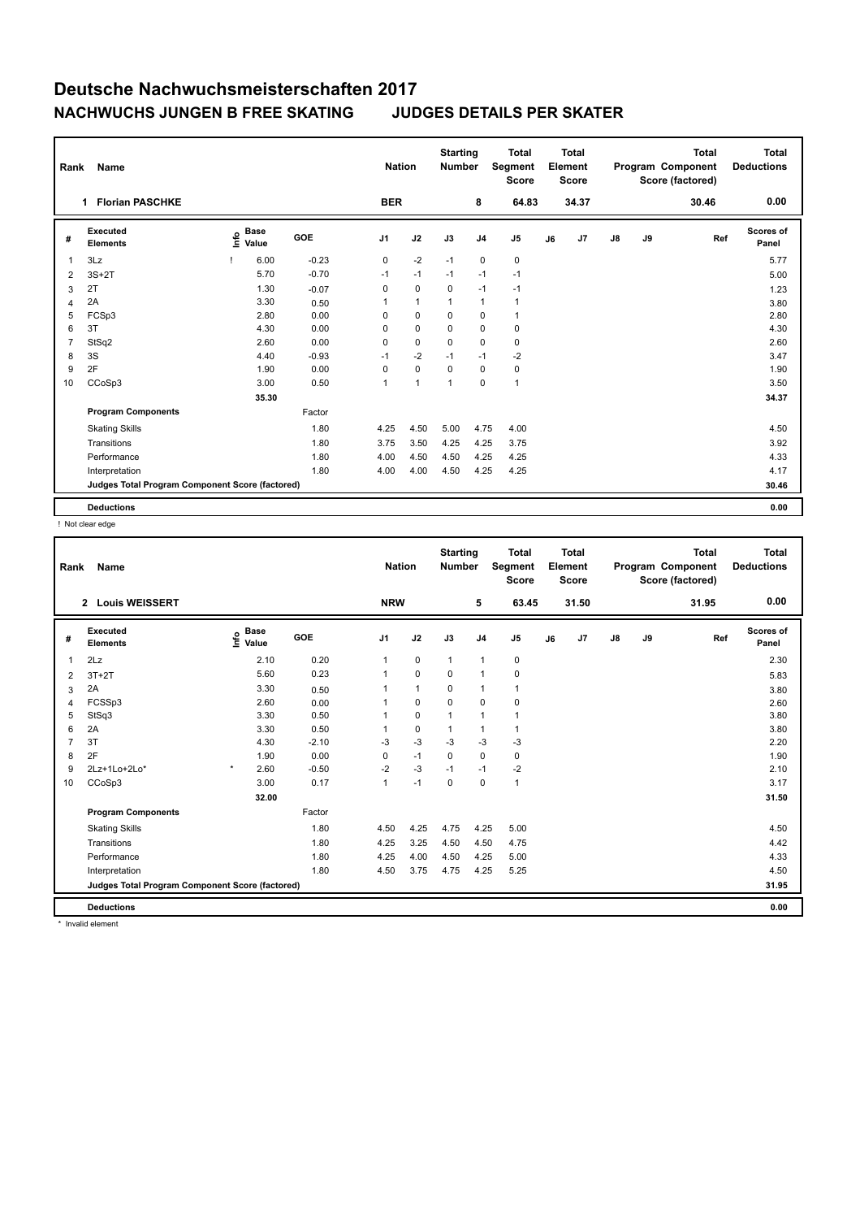| Rank           | Name                                            |                              |            | <b>Nation</b>  |                | <b>Starting</b><br><b>Number</b> |                | <b>Total</b><br>Segment<br><b>Score</b> |    | <b>Total</b><br>Element<br><b>Score</b> |               |    | <b>Total</b><br>Program Component<br>Score (factored) | Total<br><b>Deductions</b> |
|----------------|-------------------------------------------------|------------------------------|------------|----------------|----------------|----------------------------------|----------------|-----------------------------------------|----|-----------------------------------------|---------------|----|-------------------------------------------------------|----------------------------|
|                | <b>Florian PASCHKE</b><br>$\mathbf 1$           |                              |            | <b>BER</b>     |                |                                  | 8              | 64.83                                   |    | 34.37                                   |               |    | 30.46                                                 | 0.00                       |
| #              | Executed<br><b>Elements</b>                     | <b>Base</b><br>lnfo<br>Value | <b>GOE</b> | J <sub>1</sub> | J2             | J3                               | J <sub>4</sub> | J <sub>5</sub>                          | J6 | J7                                      | $\mathsf{J}8$ | J9 | Ref                                                   | <b>Scores of</b><br>Panel  |
| $\mathbf{1}$   | 3Lz                                             | 6.00                         | $-0.23$    | 0              | $-2$           | $-1$                             | 0              | 0                                       |    |                                         |               |    |                                                       | 5.77                       |
| 2              | $3S+2T$                                         | 5.70                         | $-0.70$    | $-1$           | $-1$           | $-1$                             | $-1$           | $-1$                                    |    |                                         |               |    |                                                       | 5.00                       |
| 3              | 2T                                              | 1.30                         | $-0.07$    | 0              | $\mathbf 0$    | $\mathbf 0$                      | $-1$           | $-1$                                    |    |                                         |               |    |                                                       | 1.23                       |
| $\overline{4}$ | 2A                                              | 3.30                         | 0.50       | 1              | $\mathbf{1}$   | $\overline{1}$                   | $\mathbf{1}$   | $\mathbf{1}$                            |    |                                         |               |    |                                                       | 3.80                       |
| 5              | FCSp3                                           | 2.80                         | 0.00       | 0              | $\mathbf 0$    | 0                                | $\pmb{0}$      | $\mathbf{1}$                            |    |                                         |               |    |                                                       | 2.80                       |
| 6              | 3T                                              | 4.30                         | 0.00       | $\Omega$       | $\mathbf 0$    | $\Omega$                         | $\mathbf 0$    | 0                                       |    |                                         |               |    |                                                       | 4.30                       |
| $\overline{7}$ | StSq2                                           | 2.60                         | 0.00       | 0              | $\mathbf 0$    | $\mathbf 0$                      | $\mathbf 0$    | $\mathbf 0$                             |    |                                         |               |    |                                                       | 2.60                       |
| 8              | 3S                                              | 4.40                         | $-0.93$    | $-1$           | $-2$           | $-1$                             | $-1$           | $-2$                                    |    |                                         |               |    |                                                       | 3.47                       |
| 9              | 2F                                              | 1.90                         | 0.00       | 0              | $\pmb{0}$      | 0                                | 0              | 0                                       |    |                                         |               |    |                                                       | 1.90                       |
| 10             | CCoSp3                                          | 3.00                         | 0.50       | 1              | $\overline{1}$ | $\overline{1}$                   | $\mathbf 0$    | $\mathbf{1}$                            |    |                                         |               |    |                                                       | 3.50                       |
|                |                                                 | 35.30                        |            |                |                |                                  |                |                                         |    |                                         |               |    |                                                       | 34.37                      |
|                | <b>Program Components</b>                       |                              | Factor     |                |                |                                  |                |                                         |    |                                         |               |    |                                                       |                            |
|                | <b>Skating Skills</b>                           |                              | 1.80       | 4.25           | 4.50           | 5.00                             | 4.75           | 4.00                                    |    |                                         |               |    |                                                       | 4.50                       |
|                | Transitions                                     |                              | 1.80       | 3.75           | 3.50           | 4.25                             | 4.25           | 3.75                                    |    |                                         |               |    |                                                       | 3.92                       |
|                | Performance                                     |                              | 1.80       | 4.00           | 4.50           | 4.50                             | 4.25           | 4.25                                    |    |                                         |               |    |                                                       | 4.33                       |
|                | Interpretation                                  |                              | 1.80       | 4.00           | 4.00           | 4.50                             | 4.25           | 4.25                                    |    |                                         |               |    |                                                       | 4.17                       |
|                | Judges Total Program Component Score (factored) |                              |            |                |                |                                  |                |                                         |    |                                         |               |    |                                                       | 30.46                      |
|                | <b>Deductions</b>                               |                              |            |                |                |                                  |                |                                         |    |                                         |               |    |                                                       | 0.00                       |

! Not clear edge

| Rank | Name                                            |                                             |         | <b>Nation</b>  |              | <b>Starting</b><br><b>Number</b> |                | <b>Total</b><br>Segment<br><b>Score</b> |    | Total<br>Element<br><b>Score</b> |               |    | <b>Total</b><br>Program Component<br>Score (factored) | <b>Total</b><br><b>Deductions</b> |
|------|-------------------------------------------------|---------------------------------------------|---------|----------------|--------------|----------------------------------|----------------|-----------------------------------------|----|----------------------------------|---------------|----|-------------------------------------------------------|-----------------------------------|
|      | <b>Louis WEISSERT</b><br>$\overline{2}$         |                                             |         | <b>NRW</b>     |              |                                  | 5              | 63.45                                   |    | 31.50                            |               |    | 31.95                                                 | 0.00                              |
| #    | <b>Executed</b><br><b>Elements</b>              | <b>Base</b><br>e <sup>Base</sup><br>⊆ Value | GOE     | J <sub>1</sub> | J2           | J3                               | J <sub>4</sub> | J5                                      | J6 | J7                               | $\mathsf{J}8$ | J9 | Ref                                                   | Scores of<br>Panel                |
| 1    | 2Lz                                             | 2.10                                        | 0.20    | 1              | $\mathbf 0$  | $\mathbf{1}$                     | $\mathbf{1}$   | $\mathbf 0$                             |    |                                  |               |    |                                                       | 2.30                              |
| 2    | $3T+2T$                                         | 5.60                                        | 0.23    | 1              | $\Omega$     | $\Omega$                         | $\overline{1}$ | $\pmb{0}$                               |    |                                  |               |    |                                                       | 5.83                              |
| 3    | 2A                                              | 3.30                                        | 0.50    | 1              | $\mathbf{1}$ | 0                                | $\overline{1}$ | $\mathbf{1}$                            |    |                                  |               |    |                                                       | 3.80                              |
| 4    | FCSSp3                                          | 2.60                                        | 0.00    | 1              | $\mathbf 0$  | $\Omega$                         | $\mathbf 0$    | 0                                       |    |                                  |               |    |                                                       | 2.60                              |
| 5    | StSq3                                           | 3.30                                        | 0.50    |                | $\mathbf 0$  | 1                                | $\overline{1}$ | $\mathbf{1}$                            |    |                                  |               |    |                                                       | 3.80                              |
| 6    | 2A                                              | 3.30                                        | 0.50    | 1              | 0            | 1                                | $\overline{1}$ | $\mathbf{1}$                            |    |                                  |               |    |                                                       | 3.80                              |
| 7    | 3T                                              | 4.30                                        | $-2.10$ | $-3$           | $-3$         | $-3$                             | $-3$           | $-3$                                    |    |                                  |               |    |                                                       | 2.20                              |
| 8    | 2F                                              | 1.90                                        | 0.00    | 0              | $-1$         | $\mathbf 0$                      | $\mathbf 0$    | $\pmb{0}$                               |    |                                  |               |    |                                                       | 1.90                              |
| 9    | 2Lz+1Lo+2Lo*                                    | $\star$<br>2.60                             | $-0.50$ | $-2$           | $-3$         | $-1$                             | $-1$           | $-2$                                    |    |                                  |               |    |                                                       | 2.10                              |
| 10   | CCoSp3                                          | 3.00                                        | 0.17    | $\mathbf{1}$   | $-1$         | $\mathbf 0$                      | $\mathbf 0$    | $\mathbf{1}$                            |    |                                  |               |    |                                                       | 3.17                              |
|      |                                                 | 32.00                                       |         |                |              |                                  |                |                                         |    |                                  |               |    |                                                       | 31.50                             |
|      | <b>Program Components</b>                       |                                             | Factor  |                |              |                                  |                |                                         |    |                                  |               |    |                                                       |                                   |
|      | <b>Skating Skills</b>                           |                                             | 1.80    | 4.50           | 4.25         | 4.75                             | 4.25           | 5.00                                    |    |                                  |               |    |                                                       | 4.50                              |
|      | Transitions                                     |                                             | 1.80    | 4.25           | 3.25         | 4.50                             | 4.50           | 4.75                                    |    |                                  |               |    |                                                       | 4.42                              |
|      | Performance                                     |                                             | 1.80    | 4.25           | 4.00         | 4.50                             | 4.25           | 5.00                                    |    |                                  |               |    |                                                       | 4.33                              |
|      | Interpretation                                  |                                             | 1.80    | 4.50           | 3.75         | 4.75                             | 4.25           | 5.25                                    |    |                                  |               |    |                                                       | 4.50                              |
|      | Judges Total Program Component Score (factored) |                                             |         |                |              |                                  |                |                                         |    |                                  |               |    |                                                       | 31.95                             |
|      | <b>Deductions</b>                               |                                             |         |                |              |                                  |                |                                         |    |                                  |               |    |                                                       | 0.00                              |
|      | * Invalid element                               |                                             |         |                |              |                                  |                |                                         |    |                                  |               |    |                                                       |                                   |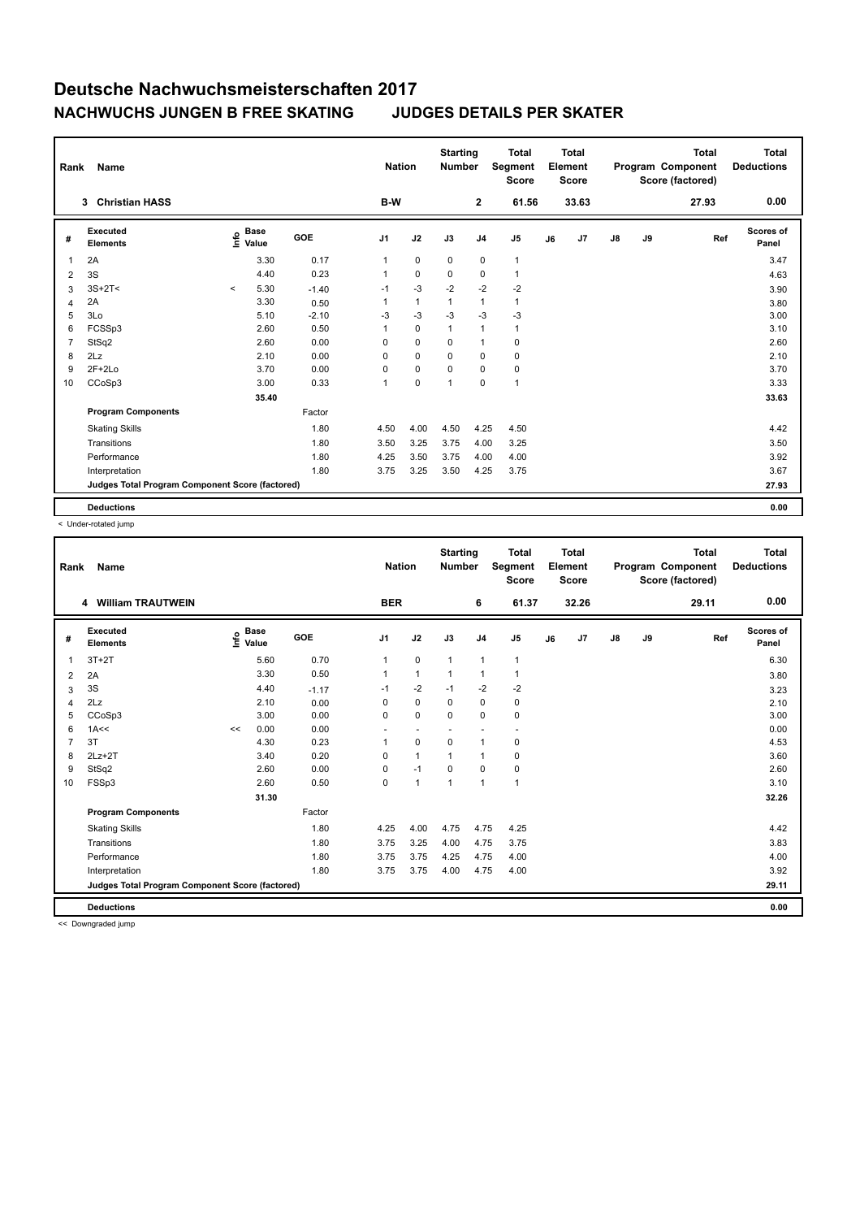| Rank           | Name                                            |              |                      |            | <b>Nation</b> |              | <b>Starting</b><br><b>Number</b> |                | <b>Total</b><br>Segment<br><b>Score</b> |    | <b>Total</b><br>Element<br><b>Score</b> |               |    | <b>Total</b><br>Program Component<br>Score (factored) | Total<br><b>Deductions</b> |
|----------------|-------------------------------------------------|--------------|----------------------|------------|---------------|--------------|----------------------------------|----------------|-----------------------------------------|----|-----------------------------------------|---------------|----|-------------------------------------------------------|----------------------------|
|                | <b>Christian HASS</b><br>3                      |              |                      |            | B-W           |              |                                  | $\mathbf{2}$   | 61.56                                   |    | 33.63                                   |               |    | 27.93                                                 | 0.00                       |
| #              | Executed<br><b>Elements</b>                     | lnfo         | <b>Base</b><br>Value | <b>GOE</b> | J1            | J2           | J3                               | J <sub>4</sub> | J <sub>5</sub>                          | J6 | J7                                      | $\mathsf{J}8$ | J9 | Ref                                                   | <b>Scores of</b><br>Panel  |
| 1              | 2A                                              |              | 3.30                 | 0.17       | $\mathbf{1}$  | $\pmb{0}$    | $\mathbf 0$                      | 0              | $\mathbf{1}$                            |    |                                         |               |    |                                                       | 3.47                       |
| 2              | 3S                                              |              | 4.40                 | 0.23       | 1             | $\mathbf 0$  | 0                                | 0              | $\mathbf{1}$                            |    |                                         |               |    |                                                       | 4.63                       |
| 3              | $3S+2T<$                                        | $\checkmark$ | 5.30                 | $-1.40$    | $-1$          | $-3$         | $-2$                             | $-2$           | $-2$                                    |    |                                         |               |    |                                                       | 3.90                       |
| $\overline{4}$ | 2A                                              |              | 3.30                 | 0.50       | 1             | $\mathbf{1}$ | $\mathbf{1}$                     | $\mathbf{1}$   | $\mathbf{1}$                            |    |                                         |               |    |                                                       | 3.80                       |
| 5              | 3Lo                                             |              | 5.10                 | $-2.10$    | -3            | $-3$         | $-3$                             | $-3$           | $-3$                                    |    |                                         |               |    |                                                       | 3.00                       |
| 6              | FCSSp3                                          |              | 2.60                 | 0.50       | 1             | $\mathbf 0$  | $\mathbf{1}$                     | $\mathbf{1}$   | $\mathbf{1}$                            |    |                                         |               |    |                                                       | 3.10                       |
| $\overline{7}$ | StSq2                                           |              | 2.60                 | 0.00       | 0             | $\mathbf 0$  | 0                                | $\overline{1}$ | $\mathbf 0$                             |    |                                         |               |    |                                                       | 2.60                       |
| 8              | 2Lz                                             |              | 2.10                 | 0.00       | 0             | $\mathbf 0$  | 0                                | $\mathbf 0$    | 0                                       |    |                                         |               |    |                                                       | 2.10                       |
| 9              | $2F+2Lo$                                        |              | 3.70                 | 0.00       | 0             | $\pmb{0}$    | 0                                | 0              | $\pmb{0}$                               |    |                                         |               |    |                                                       | 3.70                       |
| 10             | CCoSp3                                          |              | 3.00                 | 0.33       | 1             | $\mathbf 0$  | 1                                | $\mathbf 0$    | $\mathbf{1}$                            |    |                                         |               |    |                                                       | 3.33                       |
|                |                                                 |              | 35.40                |            |               |              |                                  |                |                                         |    |                                         |               |    |                                                       | 33.63                      |
|                | <b>Program Components</b>                       |              |                      | Factor     |               |              |                                  |                |                                         |    |                                         |               |    |                                                       |                            |
|                | <b>Skating Skills</b>                           |              |                      | 1.80       | 4.50          | 4.00         | 4.50                             | 4.25           | 4.50                                    |    |                                         |               |    |                                                       | 4.42                       |
|                | Transitions                                     |              |                      | 1.80       | 3.50          | 3.25         | 3.75                             | 4.00           | 3.25                                    |    |                                         |               |    |                                                       | 3.50                       |
|                | Performance                                     |              |                      | 1.80       | 4.25          | 3.50         | 3.75                             | 4.00           | 4.00                                    |    |                                         |               |    |                                                       | 3.92                       |
|                | Interpretation                                  |              |                      | 1.80       | 3.75          | 3.25         | 3.50                             | 4.25           | 3.75                                    |    |                                         |               |    |                                                       | 3.67                       |
|                | Judges Total Program Component Score (factored) |              |                      |            |               |              |                                  |                |                                         |    |                                         |               |    |                                                       | 27.93                      |
|                | <b>Deductions</b>                               |              |                      |            |               |              |                                  |                |                                         |    |                                         |               |    |                                                       | 0.00                       |

< Under-rotated jump

| Rank           | Name                                            |    |                                             |         | <b>Nation</b>            |                          | <b>Starting</b><br><b>Number</b> |                | <b>Total</b><br>Segment<br><b>Score</b> |    | <b>Total</b><br>Element<br><b>Score</b> |               |    | <b>Total</b><br>Program Component<br>Score (factored) | <b>Total</b><br><b>Deductions</b> |
|----------------|-------------------------------------------------|----|---------------------------------------------|---------|--------------------------|--------------------------|----------------------------------|----------------|-----------------------------------------|----|-----------------------------------------|---------------|----|-------------------------------------------------------|-----------------------------------|
|                | 4 William TRAUTWEIN                             |    |                                             |         | <b>BER</b>               |                          |                                  | 6              | 61.37                                   |    | 32.26                                   |               |    | 29.11                                                 | 0.00                              |
| #              | Executed<br><b>Elements</b>                     |    | <b>Base</b><br>e <sup>Base</sup><br>⊆ Value | GOE     | J <sub>1</sub>           | J2                       | J3                               | J <sub>4</sub> | J5                                      | J6 | J7                                      | $\mathsf{J}8$ | J9 | Ref                                                   | Scores of<br>Panel                |
| 1              | $3T+2T$                                         |    | 5.60                                        | 0.70    | $\mathbf{1}$             | 0                        | $\overline{1}$                   | $\overline{1}$ | $\mathbf{1}$                            |    |                                         |               |    |                                                       | 6.30                              |
| 2              | 2A                                              |    | 3.30                                        | 0.50    | $\overline{1}$           | $\mathbf{1}$             | $\overline{1}$                   | $\overline{1}$ | $\mathbf{1}$                            |    |                                         |               |    |                                                       | 3.80                              |
| 3              | 3S                                              |    | 4.40                                        | $-1.17$ | $-1$                     | $-2$                     | $-1$                             | $-2$           | -2                                      |    |                                         |               |    |                                                       | 3.23                              |
| $\overline{4}$ | 2Lz                                             |    | 2.10                                        | 0.00    | 0                        | $\mathbf 0$              | 0                                | $\mathbf 0$    | $\mathbf 0$                             |    |                                         |               |    |                                                       | 2.10                              |
| 5              | CCoSp3                                          |    | 3.00                                        | 0.00    | 0                        | $\mathbf 0$              | $\mathbf 0$                      | $\mathbf 0$    | $\mathbf 0$                             |    |                                         |               |    |                                                       | 3.00                              |
| 6              | 1A<<                                            | << | 0.00                                        | 0.00    | $\overline{\phantom{a}}$ | $\overline{\phantom{a}}$ |                                  | ٠              | $\overline{\phantom{a}}$                |    |                                         |               |    |                                                       | 0.00                              |
| 7              | 3T                                              |    | 4.30                                        | 0.23    | 1                        | 0                        | $\mathbf 0$                      | $\mathbf{1}$   | $\pmb{0}$                               |    |                                         |               |    |                                                       | 4.53                              |
| 8              | $2Lz+2T$                                        |    | 3.40                                        | 0.20    | $\Omega$                 | $\mathbf{1}$             | 1                                | $\overline{1}$ | 0                                       |    |                                         |               |    |                                                       | 3.60                              |
| 9              | StSq2                                           |    | 2.60                                        | 0.00    | 0                        | $-1$                     | $\mathbf 0$                      | $\mathbf 0$    | $\pmb{0}$                               |    |                                         |               |    |                                                       | 2.60                              |
| 10             | FSSp3                                           |    | 2.60                                        | 0.50    | 0                        | $\mathbf{1}$             | 1                                | $\overline{1}$ | $\mathbf{1}$                            |    |                                         |               |    |                                                       | 3.10                              |
|                |                                                 |    | 31.30                                       |         |                          |                          |                                  |                |                                         |    |                                         |               |    |                                                       | 32.26                             |
|                | <b>Program Components</b>                       |    |                                             | Factor  |                          |                          |                                  |                |                                         |    |                                         |               |    |                                                       |                                   |
|                | <b>Skating Skills</b>                           |    |                                             | 1.80    | 4.25                     | 4.00                     | 4.75                             | 4.75           | 4.25                                    |    |                                         |               |    |                                                       | 4.42                              |
|                | Transitions                                     |    |                                             | 1.80    | 3.75                     | 3.25                     | 4.00                             | 4.75           | 3.75                                    |    |                                         |               |    |                                                       | 3.83                              |
|                | Performance                                     |    |                                             | 1.80    | 3.75                     | 3.75                     | 4.25                             | 4.75           | 4.00                                    |    |                                         |               |    |                                                       | 4.00                              |
|                | Interpretation                                  |    |                                             | 1.80    | 3.75                     | 3.75                     | 4.00                             | 4.75           | 4.00                                    |    |                                         |               |    |                                                       | 3.92                              |
|                | Judges Total Program Component Score (factored) |    |                                             |         |                          |                          |                                  |                |                                         |    |                                         |               |    |                                                       | 29.11                             |
|                | <b>Deductions</b>                               |    |                                             |         |                          |                          |                                  |                |                                         |    |                                         |               |    |                                                       | 0.00                              |

<< Downgraded jump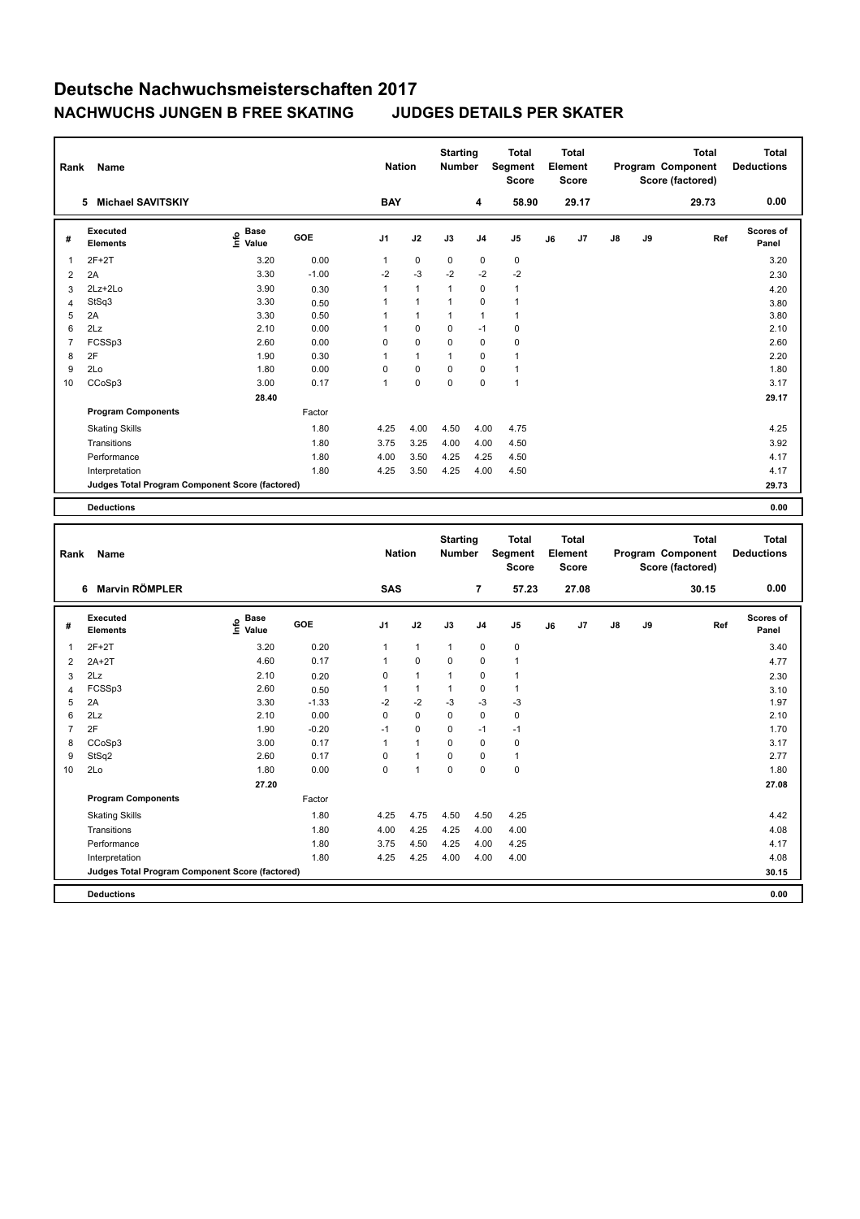| Rank | Name                                            |                                             |            | <b>Nation</b>  |              | <b>Starting</b><br><b>Number</b> |                | <b>Total</b><br>Segment<br><b>Score</b> |    | Total<br>Element<br><b>Score</b> |               |    | <b>Total</b><br>Program Component<br>Score (factored) | Total<br><b>Deductions</b> |
|------|-------------------------------------------------|---------------------------------------------|------------|----------------|--------------|----------------------------------|----------------|-----------------------------------------|----|----------------------------------|---------------|----|-------------------------------------------------------|----------------------------|
|      | <b>Michael SAVITSKIY</b><br>5                   |                                             |            | <b>BAY</b>     |              |                                  | 4              | 58.90                                   |    | 29.17                            |               |    | 29.73                                                 | 0.00                       |
| #    | Executed<br><b>Elements</b>                     | <b>Base</b><br>e <sup>Base</sup><br>⊆ Value | <b>GOE</b> | J <sub>1</sub> | J2           | J3                               | J <sub>4</sub> | J5                                      | J6 | J7                               | $\mathsf{J}8$ | J9 | Ref                                                   | Scores of<br>Panel         |
| 1    | $2F+2T$                                         | 3.20                                        | 0.00       | 1              | $\pmb{0}$    | $\mathbf 0$                      | $\pmb{0}$      | $\mathbf 0$                             |    |                                  |               |    |                                                       | 3.20                       |
| 2    | 2A                                              | 3.30                                        | $-1.00$    | $-2$           | $-3$         | $-2$                             | $-2$           | $-2$                                    |    |                                  |               |    |                                                       | 2.30                       |
| 3    | $2Lz + 2Lo$                                     | 3.90                                        | 0.30       | 1              | $\mathbf{1}$ | 1                                | $\mathbf 0$    | $\mathbf{1}$                            |    |                                  |               |    |                                                       | 4.20                       |
| 4    | StSq3                                           | 3.30                                        | 0.50       |                | $\mathbf{1}$ | 1                                | $\mathbf 0$    | $\mathbf{1}$                            |    |                                  |               |    |                                                       | 3.80                       |
| 5    | 2A                                              | 3.30                                        | 0.50       |                | $\mathbf{1}$ | $\overline{1}$                   | $\mathbf{1}$   | $\mathbf{1}$                            |    |                                  |               |    |                                                       | 3.80                       |
| 6    | 2Lz                                             | 2.10                                        | 0.00       |                | $\mathbf 0$  | $\Omega$                         | $-1$           | 0                                       |    |                                  |               |    |                                                       | 2.10                       |
| 7    | FCSSp3                                          | 2.60                                        | 0.00       | 0              | $\mathbf 0$  | $\mathbf 0$                      | 0              | 0                                       |    |                                  |               |    |                                                       | 2.60                       |
| 8    | 2F                                              | 1.90                                        | 0.30       |                | $\mathbf{1}$ | $\mathbf{1}$                     | 0              | $\mathbf{1}$                            |    |                                  |               |    |                                                       | 2.20                       |
| 9    | 2Lo                                             | 1.80                                        | 0.00       | 0              | $\mathbf 0$  | $\mathbf 0$                      | $\mathbf 0$    | $\mathbf{1}$                            |    |                                  |               |    |                                                       | 1.80                       |
| 10   | CCoSp3                                          | 3.00                                        | 0.17       | $\overline{1}$ | $\mathbf 0$  | $\mathbf 0$                      | $\mathbf 0$    | $\mathbf{1}$                            |    |                                  |               |    |                                                       | 3.17                       |
|      |                                                 | 28.40                                       |            |                |              |                                  |                |                                         |    |                                  |               |    |                                                       | 29.17                      |
|      | <b>Program Components</b>                       |                                             | Factor     |                |              |                                  |                |                                         |    |                                  |               |    |                                                       |                            |
|      | <b>Skating Skills</b>                           |                                             | 1.80       | 4.25           | 4.00         | 4.50                             | 4.00           | 4.75                                    |    |                                  |               |    |                                                       | 4.25                       |
|      | Transitions                                     |                                             | 1.80       | 3.75           | 3.25         | 4.00                             | 4.00           | 4.50                                    |    |                                  |               |    |                                                       | 3.92                       |
|      | Performance                                     |                                             | 1.80       | 4.00           | 3.50         | 4.25                             | 4.25           | 4.50                                    |    |                                  |               |    |                                                       | 4.17                       |
|      | Interpretation                                  |                                             | 1.80       | 4.25           | 3.50         | 4.25                             | 4.00           | 4.50                                    |    |                                  |               |    |                                                       | 4.17                       |
|      | Judges Total Program Component Score (factored) |                                             |            |                |              |                                  |                |                                         |    |                                  |               |    |                                                       | 29.73                      |
|      | <b>Deductions</b>                               |                                             |            |                |              |                                  |                |                                         |    |                                  |               |    |                                                       | 0.00                       |

| Rank           | <b>Name</b>                                     |                                  |         | <b>Nation</b>  |              | <b>Starting</b><br><b>Number</b> |                | <b>Total</b><br>Segment<br><b>Score</b> |    | <b>Total</b><br>Element<br><b>Score</b> |               |    | <b>Total</b><br>Program Component<br>Score (factored) | <b>Total</b><br><b>Deductions</b> |
|----------------|-------------------------------------------------|----------------------------------|---------|----------------|--------------|----------------------------------|----------------|-----------------------------------------|----|-----------------------------------------|---------------|----|-------------------------------------------------------|-----------------------------------|
|                | <b>Marvin RÖMPLER</b><br>6                      |                                  |         | SAS            |              |                                  | 7              | 57.23                                   |    | 27.08                                   |               |    | 30.15                                                 | 0.00                              |
| #              | Executed<br><b>Elements</b>                     | <b>Base</b><br>e Base<br>⊆ Value | GOE     | J <sub>1</sub> | J2           | J3                               | J <sub>4</sub> | J <sub>5</sub>                          | J6 | J7                                      | $\mathsf{J}8$ | J9 | Ref                                                   | Scores of<br>Panel                |
| 1              | $2F+2T$                                         | 3.20                             | 0.20    | $\mathbf{1}$   | $\mathbf{1}$ | $\mathbf{1}$                     | $\mathbf 0$    | $\pmb{0}$                               |    |                                         |               |    |                                                       | 3.40                              |
| 2              | $2A+2T$                                         | 4.60                             | 0.17    | 1              | $\mathbf 0$  | $\mathbf 0$                      | 0              | $\mathbf{1}$                            |    |                                         |               |    |                                                       | 4.77                              |
| 3              | 2Lz                                             | 2.10                             | 0.20    | 0              | $\mathbf{1}$ | $\mathbf{1}$                     | 0              | $\mathbf{1}$                            |    |                                         |               |    |                                                       | 2.30                              |
| 4              | FCSSp3                                          | 2.60                             | 0.50    | 1              | $\mathbf{1}$ | $\mathbf{1}$                     | 0              | $\mathbf{1}$                            |    |                                         |               |    |                                                       | 3.10                              |
| 5              | 2A                                              | 3.30                             | $-1.33$ | $-2$           | $-2$         | $-3$                             | $-3$           | $-3$                                    |    |                                         |               |    |                                                       | 1.97                              |
| 6              | 2Lz                                             | 2.10                             | 0.00    | 0              | $\mathbf 0$  | $\Omega$                         | $\mathbf 0$    | $\mathbf 0$                             |    |                                         |               |    |                                                       | 2.10                              |
| $\overline{7}$ | 2F                                              | 1.90                             | $-0.20$ | $-1$           | $\mathbf 0$  | $\Omega$                         | $-1$           | $-1$                                    |    |                                         |               |    |                                                       | 1.70                              |
| 8              | CCoSp3                                          | 3.00                             | 0.17    | 1              | $\mathbf{1}$ | $\Omega$                         | $\mathbf 0$    | 0                                       |    |                                         |               |    |                                                       | 3.17                              |
| 9              | StSq2                                           | 2.60                             | 0.17    | 0              | $\mathbf{1}$ | $\Omega$                         | $\Omega$       | $\mathbf{1}$                            |    |                                         |               |    |                                                       | 2.77                              |
| 10             | 2Lo                                             | 1.80                             | 0.00    | 0              | 1            | $\mathbf 0$                      | 0              | 0                                       |    |                                         |               |    |                                                       | 1.80                              |
|                |                                                 | 27.20                            |         |                |              |                                  |                |                                         |    |                                         |               |    |                                                       | 27.08                             |
|                | <b>Program Components</b>                       |                                  | Factor  |                |              |                                  |                |                                         |    |                                         |               |    |                                                       |                                   |
|                | <b>Skating Skills</b>                           |                                  | 1.80    | 4.25           | 4.75         | 4.50                             | 4.50           | 4.25                                    |    |                                         |               |    |                                                       | 4.42                              |
|                | Transitions                                     |                                  | 1.80    | 4.00           | 4.25         | 4.25                             | 4.00           | 4.00                                    |    |                                         |               |    |                                                       | 4.08                              |
|                | Performance                                     |                                  | 1.80    | 3.75           | 4.50         | 4.25                             | 4.00           | 4.25                                    |    |                                         |               |    |                                                       | 4.17                              |
|                | Interpretation                                  |                                  | 1.80    | 4.25           | 4.25         | 4.00                             | 4.00           | 4.00                                    |    |                                         |               |    |                                                       | 4.08                              |
|                | Judges Total Program Component Score (factored) |                                  |         |                |              |                                  |                |                                         |    |                                         |               |    |                                                       | 30.15                             |
|                | <b>Deductions</b>                               |                                  |         |                |              |                                  |                |                                         |    |                                         |               |    |                                                       | 0.00                              |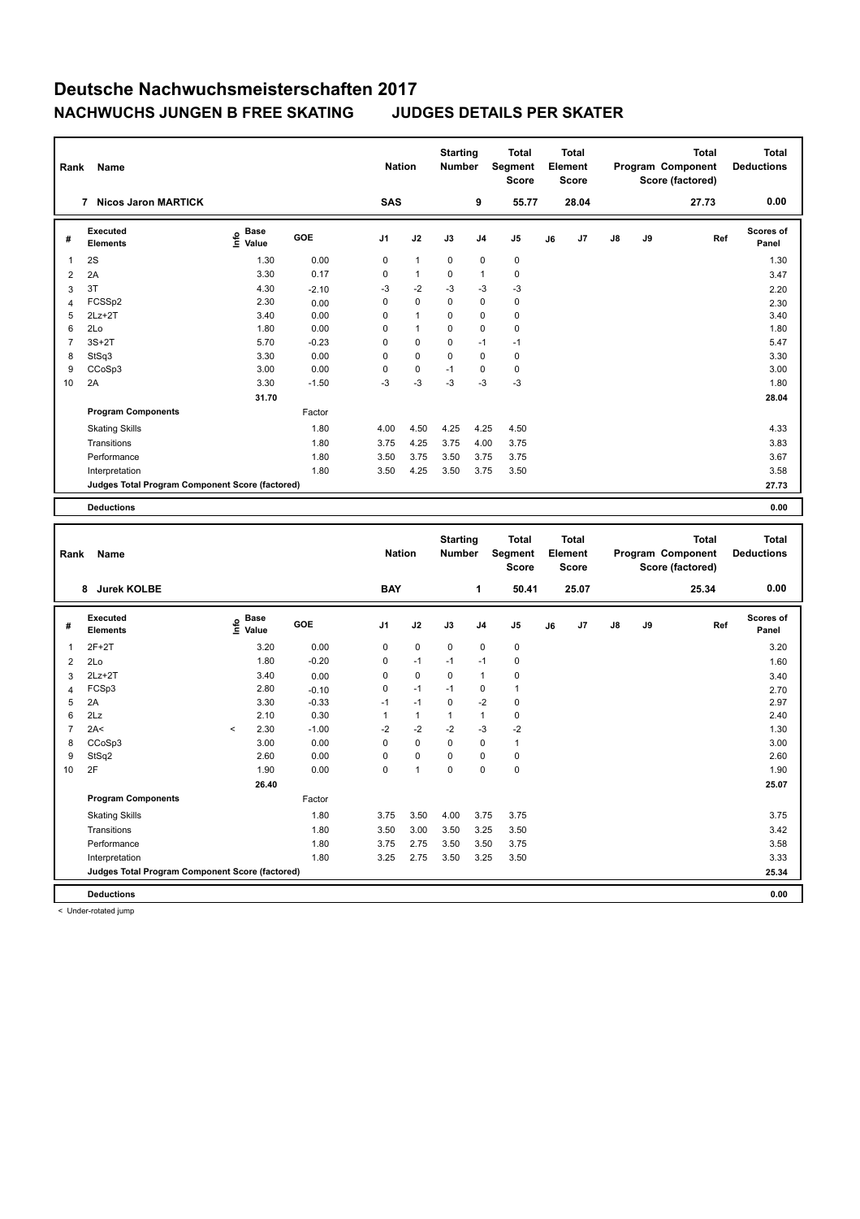| Rank           | <b>Name</b>                                     |                                  |         | <b>Nation</b>  |              | <b>Starting</b><br><b>Number</b> |                | <b>Total</b><br>Segment<br><b>Score</b> |    | Total<br>Element<br><b>Score</b> |               |    | <b>Total</b><br>Program Component<br>Score (factored) | Total<br><b>Deductions</b> |
|----------------|-------------------------------------------------|----------------------------------|---------|----------------|--------------|----------------------------------|----------------|-----------------------------------------|----|----------------------------------|---------------|----|-------------------------------------------------------|----------------------------|
|                | <b>Nicos Jaron MARTICK</b><br>7                 |                                  |         | <b>SAS</b>     |              |                                  | 9              | 55.77                                   |    | 28.04                            |               |    | 27.73                                                 | 0.00                       |
| #              | Executed<br><b>Elements</b>                     | <b>Base</b><br>e Base<br>⊆ Value | GOE     | J <sub>1</sub> | J2           | J3                               | J <sub>4</sub> | J <sub>5</sub>                          | J6 | J7                               | $\mathsf{J}8$ | J9 | Ref                                                   | Scores of<br>Panel         |
| 1              | 2S                                              | 1.30                             | 0.00    | 0              | $\mathbf{1}$ | $\mathbf 0$                      | 0              | 0                                       |    |                                  |               |    |                                                       | 1.30                       |
| 2              | 2A                                              | 3.30                             | 0.17    | 0              | $\mathbf{1}$ | 0                                | $\overline{1}$ | $\mathbf 0$                             |    |                                  |               |    |                                                       | 3.47                       |
| 3              | 3T                                              | 4.30                             | $-2.10$ | $-3$           | $-2$         | $-3$                             | $-3$           | $-3$                                    |    |                                  |               |    |                                                       | 2.20                       |
| 4              | FCSSp2                                          | 2.30                             | 0.00    | 0              | $\mathbf 0$  | 0                                | $\mathbf 0$    | 0                                       |    |                                  |               |    |                                                       | 2.30                       |
| 5              | $2Lz+2T$                                        | 3.40                             | 0.00    | 0              | $\mathbf{1}$ | 0                                | $\mathbf 0$    | 0                                       |    |                                  |               |    |                                                       | 3.40                       |
| 6              | 2Lo                                             | 1.80                             | 0.00    | 0              | $\mathbf{1}$ | $\Omega$                         | $\mathbf 0$    | $\pmb{0}$                               |    |                                  |               |    |                                                       | 1.80                       |
| $\overline{7}$ | $3S+2T$                                         | 5.70                             | $-0.23$ | 0              | $\mathbf 0$  | 0                                | $-1$           | $-1$                                    |    |                                  |               |    |                                                       | 5.47                       |
| 8              | StSq3                                           | 3.30                             | 0.00    | 0              | $\mathbf 0$  | 0                                | $\mathbf 0$    | 0                                       |    |                                  |               |    |                                                       | 3.30                       |
| 9              | CCoSp3                                          | 3.00                             | 0.00    | 0              | 0            | $-1$                             | 0              | 0                                       |    |                                  |               |    |                                                       | 3.00                       |
| 10             | 2A                                              | 3.30                             | $-1.50$ | $-3$           | $-3$         | $-3$                             | $-3$           | $-3$                                    |    |                                  |               |    |                                                       | 1.80                       |
|                |                                                 | 31.70                            |         |                |              |                                  |                |                                         |    |                                  |               |    |                                                       | 28.04                      |
|                | <b>Program Components</b>                       |                                  | Factor  |                |              |                                  |                |                                         |    |                                  |               |    |                                                       |                            |
|                | <b>Skating Skills</b>                           |                                  | 1.80    | 4.00           | 4.50         | 4.25                             | 4.25           | 4.50                                    |    |                                  |               |    |                                                       | 4.33                       |
|                | Transitions                                     |                                  | 1.80    | 3.75           | 4.25         | 3.75                             | 4.00           | 3.75                                    |    |                                  |               |    |                                                       | 3.83                       |
|                | Performance                                     |                                  | 1.80    | 3.50           | 3.75         | 3.50                             | 3.75           | 3.75                                    |    |                                  |               |    |                                                       | 3.67                       |
|                | Interpretation                                  |                                  | 1.80    | 3.50           | 4.25         | 3.50                             | 3.75           | 3.50                                    |    |                                  |               |    |                                                       | 3.58                       |
|                | Judges Total Program Component Score (factored) |                                  |         |                |              |                                  |                |                                         |    |                                  |               |    |                                                       | 27.73                      |
|                | <b>Deductions</b>                               |                                  |         |                |              |                                  |                |                                         |    |                                  |               |    |                                                       | 0.00                       |

| Rank           | Name                                            |         |                           | <b>Nation</b> |              | <b>Starting</b><br><b>Total</b><br>Segment<br><b>Number</b><br><b>Score</b> |             | <b>Total</b><br>Element<br><b>Score</b> |              |    |                | <b>Total</b><br>Program Component<br>Score (factored) | <b>Total</b><br><b>Deductions</b> |       |                    |
|----------------|-------------------------------------------------|---------|---------------------------|---------------|--------------|-----------------------------------------------------------------------------|-------------|-----------------------------------------|--------------|----|----------------|-------------------------------------------------------|-----------------------------------|-------|--------------------|
|                | 8 Jurek KOLBE                                   |         |                           |               | <b>BAY</b>   |                                                                             |             | 1                                       | 50.41        |    | 25.07          |                                                       |                                   | 25.34 | 0.00               |
| #              | <b>Executed</b><br><b>Elements</b>              |         | Base<br>e Base<br>E Value | GOE           | J1           | J2                                                                          | J3          | J <sub>4</sub>                          | J5           | J6 | J <sub>7</sub> | $\mathsf{J}8$                                         | J9                                | Ref   | Scores of<br>Panel |
| 1              | $2F+2T$                                         |         | 3.20                      | 0.00          | 0            | $\mathbf 0$                                                                 | $\mathbf 0$ | 0                                       | 0            |    |                |                                                       |                                   |       | 3.20               |
| $\overline{2}$ | 2Lo                                             |         | 1.80                      | $-0.20$       | 0            | $-1$                                                                        | $-1$        | $-1$                                    | 0            |    |                |                                                       |                                   |       | 1.60               |
| 3              | $2Lz+2T$                                        |         | 3.40                      | 0.00          | $\Omega$     | $\mathbf 0$                                                                 | 0           | 1                                       | 0            |    |                |                                                       |                                   |       | 3.40               |
| 4              | FCSp3                                           |         | 2.80                      | $-0.10$       | 0            | $-1$                                                                        | $-1$        | 0                                       | $\mathbf{1}$ |    |                |                                                       |                                   |       | 2.70               |
| 5              | 2A                                              |         | 3.30                      | $-0.33$       | $-1$         | $-1$                                                                        | 0           | $-2$                                    | $\pmb{0}$    |    |                |                                                       |                                   |       | 2.97               |
| 6              | 2Lz                                             |         | 2.10                      | 0.30          | $\mathbf{1}$ | $\mathbf{1}$                                                                | 1           | 1                                       | 0            |    |                |                                                       |                                   |       | 2.40               |
| $\overline{7}$ | 2A<                                             | $\prec$ | 2.30                      | $-1.00$       | $-2$         | $-2$                                                                        | $-2$        | $-3$                                    | $-2$         |    |                |                                                       |                                   |       | 1.30               |
| 8              | CCoSp3                                          |         | 3.00                      | 0.00          | 0            | $\mathbf 0$                                                                 | $\mathbf 0$ | $\mathbf 0$                             | $\mathbf{1}$ |    |                |                                                       |                                   |       | 3.00               |
| 9              | StSq2                                           |         | 2.60                      | 0.00          | 0            | $\mathbf 0$                                                                 | $\Omega$    | 0                                       | $\pmb{0}$    |    |                |                                                       |                                   |       | 2.60               |
| 10             | 2F                                              |         | 1.90                      | 0.00          | 0            | $\mathbf{1}$                                                                | $\mathbf 0$ | 0                                       | $\mathbf 0$  |    |                |                                                       |                                   |       | 1.90               |
|                |                                                 |         | 26.40                     |               |              |                                                                             |             |                                         |              |    |                |                                                       |                                   |       | 25.07              |
|                | <b>Program Components</b>                       |         |                           | Factor        |              |                                                                             |             |                                         |              |    |                |                                                       |                                   |       |                    |
|                | <b>Skating Skills</b>                           |         |                           | 1.80          | 3.75         | 3.50                                                                        | 4.00        | 3.75                                    | 3.75         |    |                |                                                       |                                   |       | 3.75               |
|                | Transitions                                     |         |                           | 1.80          | 3.50         | 3.00                                                                        | 3.50        | 3.25                                    | 3.50         |    |                |                                                       |                                   |       | 3.42               |
|                | Performance                                     |         |                           | 1.80          | 3.75         | 2.75                                                                        | 3.50        | 3.50                                    | 3.75         |    |                |                                                       |                                   |       | 3.58               |
|                | Interpretation                                  |         |                           | 1.80          | 3.25         | 2.75                                                                        | 3.50        | 3.25                                    | 3.50         |    |                |                                                       |                                   |       | 3.33               |
|                | Judges Total Program Component Score (factored) |         |                           |               |              |                                                                             |             |                                         |              |    |                |                                                       |                                   |       | 25.34              |
|                | <b>Deductions</b>                               |         |                           |               |              |                                                                             |             |                                         |              |    |                |                                                       |                                   |       | 0.00               |

< Under-rotated jump